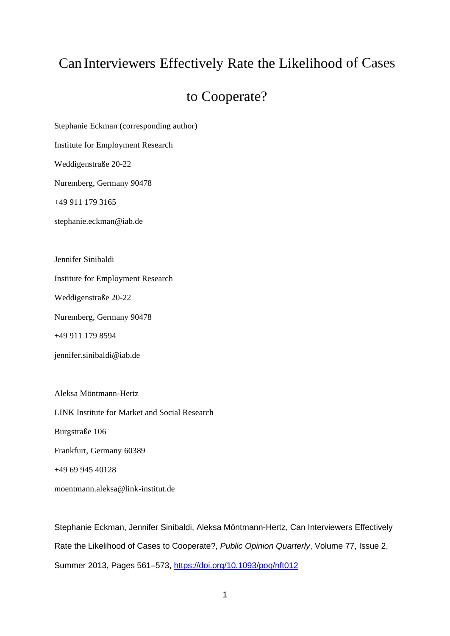# Can Interviewers Effectively Rate the Likelihood of Cases

## to Cooperate?

Stephanie Eckman (corresponding author)

Institute for Employment Research

Weddigenstraße 20-22

Nuremberg, Germany 90478

+49 911 179 3165

stephanie.eckman@iab.de

Jennifer Sinibaldi

Institute for Employment Research

Weddigenstraße 20-22

Nuremberg, Germany 90478

+49 911 179 8594

jennifer.sinibaldi@iab.de

Aleksa Möntmann-Hertz LINK Institute for Market and Social Research Burgstraße 106 Frankfurt, Germany 60389 +49 69 945 40128 moentmann.aleksa@link-institut.de

Stephanie Eckman, Jennifer Sinibaldi, Aleksa Möntmann-Hertz, Can Interviewers Effectively Rate the Likelihood of Cases to Cooperate?, *Public Opinion Quarterly*, Volume 77, Issue 2, Summer 2013, Pages 561–573,<https://doi.org/10.1093/poq/nft012>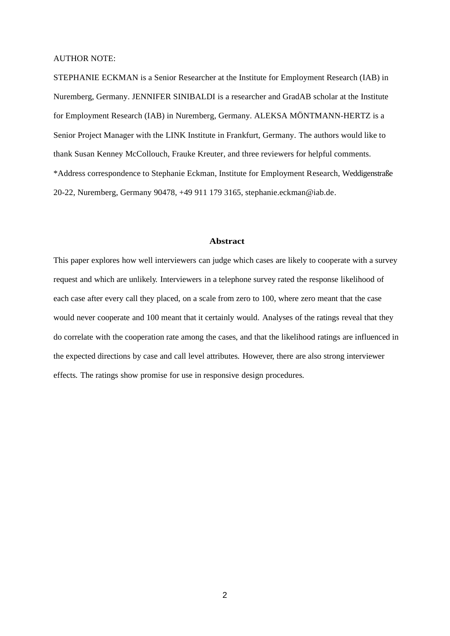AUTHOR NOTE:

STEPHANIE ECKMAN is a Senior Researcher at the Institute for Employment Research (IAB) in Nuremberg, Germany. JENNIFER SINIBALDI is a researcher and GradAB scholar at the Institute for Employment Research (IAB) in Nuremberg, Germany. ALEKSA MÖNTMANN-HERTZ is a Senior Project Manager with the LINK Institute in Frankfurt, Germany. The authors would like to thank Susan Kenney McCollouch, Frauke Kreuter, and three reviewers for helpful comments. \*Address correspondence to Stephanie Eckman, Institute for Employment Research, Weddigenstraße 20-22, Nuremberg, Germany 90478, +49 911 179 3165, stephanie.eckman@iab.de.

#### **Abstract**

This paper explores how well interviewers can judge which cases are likely to cooperate with a survey request and which are unlikely. Interviewers in a telephone survey rated the response likelihood of each case after every call they placed, on a scale from zero to 100, where zero meant that the case would never cooperate and 100 meant that it certainly would. Analyses of the ratings reveal that they do correlate with the cooperation rate among the cases, and that the likelihood ratings are influenced in the expected directions by case and call level attributes. However, there are also strong interviewer effects. The ratings show promise for use in responsive design procedures.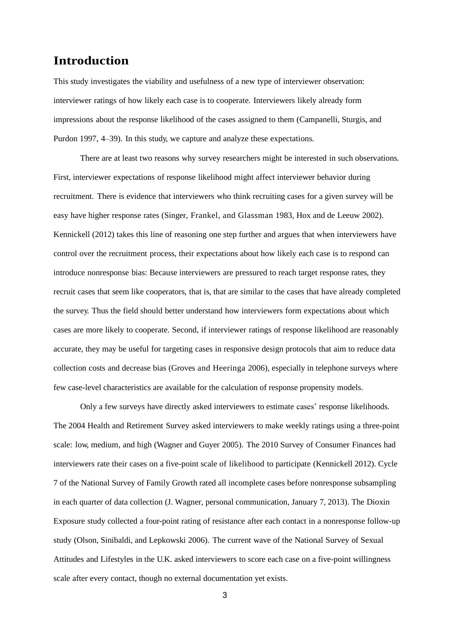## **Introduction**

This study investigates the viability and usefulness of a new type of interviewer observation: interviewer ratings of how likely each case is to cooperate. Interviewers likely already form impressions about the response likelihood of the cases assigned to them (Campanelli, Sturgis, and Purdon 1997, 4–39). In this study, we capture and analyze these expectations.

There are at least two reasons why survey researchers might be interested in such observations. First, interviewer expectations of response likelihood might affect interviewer behavior during recruitment. There is evidence that interviewers who think recruiting cases for a given survey will be easy have higher response rates (Singer, Frankel, and Glassman 1983, Hox and de Leeuw 2002). Kennickell (2012) takes this line of reasoning one step further and argues that when interviewers have control over the recruitment process, their expectations about how likely each case is to respond can introduce nonresponse bias: Because interviewers are pressured to reach target response rates, they recruit cases that seem like cooperators, that is, that are similar to the cases that have already completed the survey. Thus the field should better understand how interviewers form expectations about which cases are more likely to cooperate. Second, if interviewer ratings of response likelihood are reasonably accurate, they may be useful for targeting cases in responsive design protocols that aim to reduce data collection costs and decrease bias (Groves and Heeringa 2006), especially in telephone surveys where few case-level characteristics are available for the calculation of response propensity models.

Only a few surveys have directly asked interviewers to estimate cases' response likelihoods. The 2004 Health and Retirement Survey asked interviewers to make weekly ratings using a three-point scale: low, medium, and high (Wagner and Guyer 2005). The 2010 Survey of Consumer Finances had interviewers rate their cases on a five-point scale of likelihood to participate (Kennickell 2012). Cycle 7 of the National Survey of Family Growth rated all incomplete cases before nonresponse subsampling in each quarter of data collection (J. Wagner, personal communication, January 7, 2013). The Dioxin Exposure study collected a four-point rating of resistance after each contact in a nonresponse follow-up study (Olson, Sinibaldi, and Lepkowski 2006). The current wave of the National Survey of Sexual Attitudes and Lifestyles in the U.K. asked interviewers to score each case on a five-point willingness scale after every contact, though no external documentation yet exists.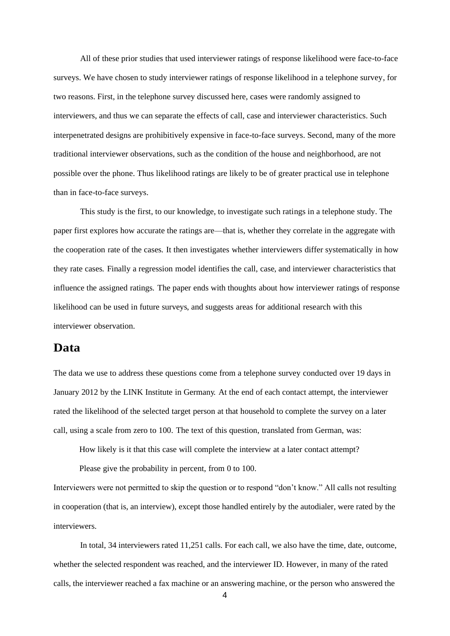All of these prior studies that used interviewer ratings of response likelihood were face-to-face surveys. We have chosen to study interviewer ratings of response likelihood in a telephone survey, for two reasons. First, in the telephone survey discussed here, cases were randomly assigned to interviewers, and thus we can separate the effects of call, case and interviewer characteristics. Such interpenetrated designs are prohibitively expensive in face-to-face surveys. Second, many of the more traditional interviewer observations, such as the condition of the house and neighborhood, are not possible over the phone. Thus likelihood ratings are likely to be of greater practical use in telephone than in face-to-face surveys.

This study is the first, to our knowledge, to investigate such ratings in a telephone study. The paper first explores how accurate the ratings are—that is, whether they correlate in the aggregate with the cooperation rate of the cases. It then investigates whether interviewers differ systematically in how they rate cases. Finally a regression model identifies the call, case, and interviewer characteristics that influence the assigned ratings. The paper ends with thoughts about how interviewer ratings of response likelihood can be used in future surveys, and suggests areas for additional research with this interviewer observation.

### **Data**

The data we use to address these questions come from a telephone survey conducted over 19 days in January 2012 by the LINK Institute in Germany. At the end of each contact attempt, the interviewer rated the likelihood of the selected target person at that household to complete the survey on a later call, using a scale from zero to 100. The text of this question, translated from German, was:

How likely is it that this case will complete the interview at a later contact attempt?

Please give the probability in percent, from 0 to 100.

Interviewers were not permitted to skip the question or to respond "don't know." All calls not resulting in cooperation (that is, an interview), except those handled entirely by the autodialer, were rated by the interviewers.

In total, 34 interviewers rated 11,251 calls. For each call, we also have the time, date, outcome, whether the selected respondent was reached, and the interviewer ID. However, in many of the rated calls, the interviewer reached a fax machine or an answering machine, or the person who answered the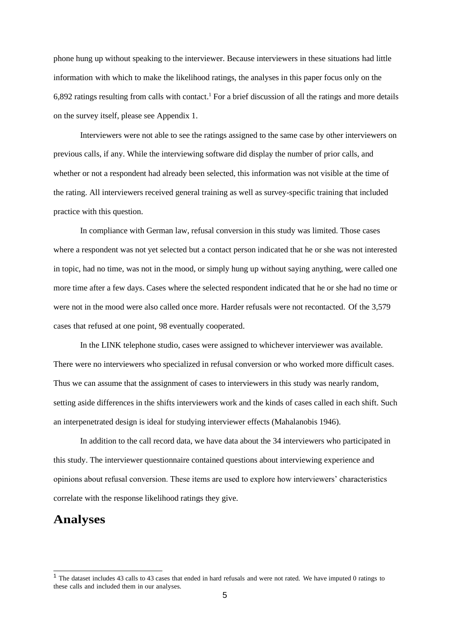phone hung up without speaking to the interviewer. Because interviewers in these situations had little information with which to make the likelihood ratings, the analyses in this paper focus only on the 6,892 ratings resulting from calls with contact.<sup>1</sup> For a brief discussion of all the ratings and more details on the survey itself, please see Appendix 1.

Interviewers were not able to see the ratings assigned to the same case by other interviewers on previous calls, if any. While the interviewing software did display the number of prior calls, and whether or not a respondent had already been selected, this information was not visible at the time of the rating. All interviewers received general training as well as survey-specific training that included practice with this question.

In compliance with German law, refusal conversion in this study was limited. Those cases where a respondent was not yet selected but a contact person indicated that he or she was not interested in topic, had no time, was not in the mood, or simply hung up without saying anything, were called one more time after a few days. Cases where the selected respondent indicated that he or she had no time or were not in the mood were also called once more. Harder refusals were not recontacted. Of the 3,579 cases that refused at one point, 98 eventually cooperated.

In the LINK telephone studio, cases were assigned to whichever interviewer was available. There were no interviewers who specialized in refusal conversion or who worked more difficult cases. Thus we can assume that the assignment of cases to interviewers in this study was nearly random, setting aside differences in the shifts interviewers work and the kinds of cases called in each shift. Such an interpenetrated design is ideal for studying interviewer effects (Mahalanobis 1946).

In addition to the call record data, we have data about the 34 interviewers who participated in this study. The interviewer questionnaire contained questions about interviewing experience and opinions about refusal conversion. These items are used to explore how interviewers' characteristics correlate with the response likelihood ratings they give.

## **Analyses**

<sup>&</sup>lt;sup>1</sup> The dataset includes 43 calls to 43 cases that ended in hard refusals and were not rated. We have imputed 0 ratings to these calls and included them in our analyses.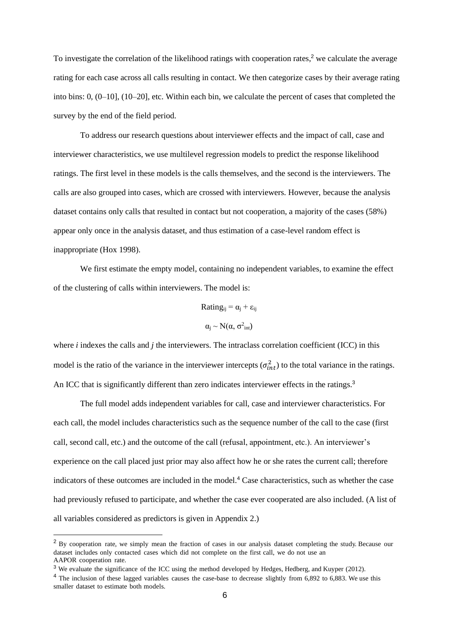To investigate the correlation of the likelihood ratings with cooperation rates,<sup>2</sup> we calculate the average rating for each case across all calls resulting in contact. We then categorize cases by their average rating into bins: 0, (0–10], (10–20], etc. Within each bin, we calculate the percent of cases that completed the survey by the end of the field period.

To address our research questions about interviewer effects and the impact of call, case and interviewer characteristics, we use multilevel regression models to predict the response likelihood ratings. The first level in these models is the calls themselves, and the second is the interviewers. The calls are also grouped into cases, which are crossed with interviewers. However, because the analysis dataset contains only calls that resulted in contact but not cooperation, a majority of the cases (58%) appear only once in the analysis dataset, and thus estimation of a case-level random effect is inappropriate (Hox 1998).

We first estimate the empty model, containing no independent variables, to examine the effect of the clustering of calls within interviewers. The model is:

Rating<sub>ij</sub> = 
$$
\alpha_j + \varepsilon_{ij}
$$
  
 $\alpha_j \sim N(\alpha, \sigma^2_{int})$ 

where *i* indexes the calls and *j* the interviewers. The intraclass correlation coefficient (ICC) in this model is the ratio of the variance in the interviewer intercepts  $(\sigma_{int}^2)$  to the total variance in the ratings. An ICC that is significantly different than zero indicates interviewer effects in the ratings.<sup>3</sup>

The full model adds independent variables for call, case and interviewer characteristics. For each call, the model includes characteristics such as the sequence number of the call to the case (first call, second call, etc.) and the outcome of the call (refusal, appointment, etc.). An interviewer's experience on the call placed just prior may also affect how he or she rates the current call; therefore indicators of these outcomes are included in the model.<sup>4</sup> Case characteristics, such as whether the case had previously refused to participate, and whether the case ever cooperated are also included. (A list of all variables considered as predictors is given in Appendix 2.)

<sup>&</sup>lt;sup>2</sup> By cooperation rate, we simply mean the fraction of cases in our analysis dataset completing the study. Because our dataset includes only contacted cases which did not complete on the first call, we do not use an AAPOR cooperation rate.

<sup>&</sup>lt;sup>3</sup> We evaluate the significance of the ICC using the method developed by Hedges, Hedberg, and Kuyper (2012).

<sup>&</sup>lt;sup>4</sup> The inclusion of these lagged variables causes the case-base to decrease slightly from 6,892 to 6,883. We use this smaller dataset to estimate both models.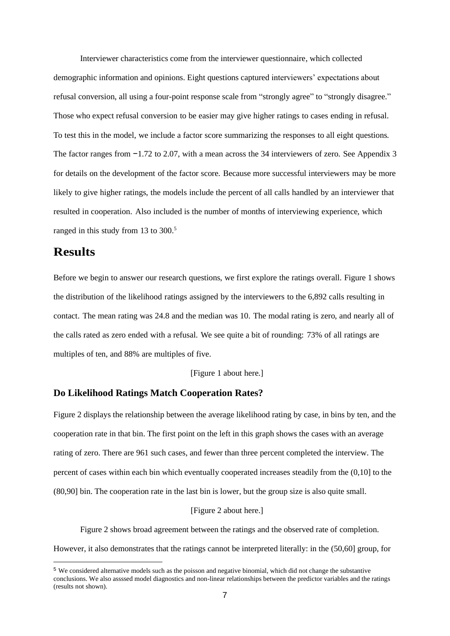Interviewer characteristics come from the interviewer questionnaire, which collected demographic information and opinions. Eight questions captured interviewers' expectations about refusal conversion, all using a four-point response scale from "strongly agree" to "strongly disagree." Those who expect refusal conversion to be easier may give higher ratings to cases ending in refusal. To test this in the model, we include a factor score summarizing the responses to all eight questions. The factor ranges from −1.72 to 2.07, with a mean across the 34 interviewers of zero. See Appendix 3 for details on the development of the factor score. Because more successful interviewers may be more likely to give higher ratings, the models include the percent of all calls handled by an interviewer that resulted in cooperation. Also included is the number of months of interviewing experience, which ranged in this study from 13 to 300.<sup>5</sup>

## **Results**

Before we begin to answer our research questions, we first explore the ratings overall. Figure 1 shows the distribution of the likelihood ratings assigned by the interviewers to the 6,892 calls resulting in contact. The mean rating was 24.8 and the median was 10. The modal rating is zero, and nearly all of the calls rated as zero ended with a refusal. We see quite a bit of rounding: 73% of all ratings are multiples of ten, and 88% are multiples of five.

[Figure 1 about here.]

#### **Do Likelihood Ratings Match Cooperation Rates?**

Figure 2 displays the relationship between the average likelihood rating by case, in bins by ten, and the cooperation rate in that bin. The first point on the left in this graph shows the cases with an average rating of zero. There are 961 such cases, and fewer than three percent completed the interview. The percent of cases within each bin which eventually cooperated increases steadily from the (0,10] to the (80,90] bin. The cooperation rate in the last bin is lower, but the group size is also quite small.

#### [Figure 2 about here.]

Figure 2 shows broad agreement between the ratings and the observed rate of completion. However, it also demonstrates that the ratings cannot be interpreted literally: in the (50,60] group, for

<sup>5</sup> We considered alternative models such as the poisson and negative binomial, which did not change the substantive conclusions. We also assssed model diagnostics and non-linear relationships between the predictor variables and the ratings (results not shown).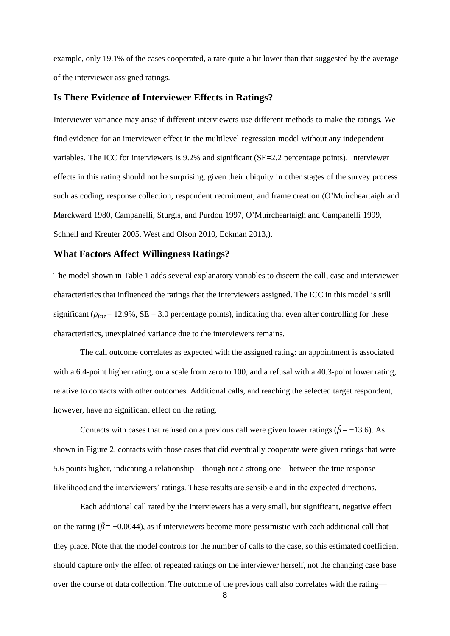example, only 19.1% of the cases cooperated, a rate quite a bit lower than that suggested by the average of the interviewer assigned ratings.

#### **Is There Evidence of Interviewer Effects in Ratings?**

Interviewer variance may arise if different interviewers use different methods to make the ratings. We find evidence for an interviewer effect in the multilevel regression model without any independent variables. The ICC for interviewers is 9.2% and significant (SE=2.2 percentage points). Interviewer effects in this rating should not be surprising, given their ubiquity in other stages of the survey process such as coding, response collection, respondent recruitment, and frame creation (O'Muircheartaigh and Marckward 1980, Campanelli, Sturgis, and Purdon 1997, O'Muircheartaigh and Campanelli 1999, Schnell and Kreuter 2005, West and Olson 2010, Eckman 2013,).

#### **What Factors Affect Willingness Ratings?**

The model shown in Table 1 adds several explanatory variables to discern the call, case and interviewer characteristics that influenced the ratings that the interviewers assigned. The ICC in this model is still significant ( $\rho_{int}$  = 12.9%, SE = 3.0 percentage points), indicating that even after controlling for these characteristics, unexplained variance due to the interviewers remains.

The call outcome correlates as expected with the assigned rating: an appointment is associated with a 6.4-point higher rating, on a scale from zero to 100, and a refusal with a 40.3-point lower rating, relative to contacts with other outcomes. Additional calls, and reaching the selected target respondent, however, have no significant effect on the rating.

Contacts with cases that refused on a previous call were given lower ratings ( $\hat{\beta}$ = −13.6). As shown in Figure 2, contacts with those cases that did eventually cooperate were given ratings that were 5.6 points higher, indicating a relationship—though not a strong one—between the true response likelihood and the interviewers' ratings. These results are sensible and in the expected directions.

Each additional call rated by the interviewers has a very small, but significant, negative effect on the rating ( $\hat{\beta}$ = −0.0044), as if interviewers become more pessimistic with each additional call that they place. Note that the model controls for the number of calls to the case, so this estimated coefficient should capture only the effect of repeated ratings on the interviewer herself, not the changing case base over the course of data collection. The outcome of the previous call also correlates with the rating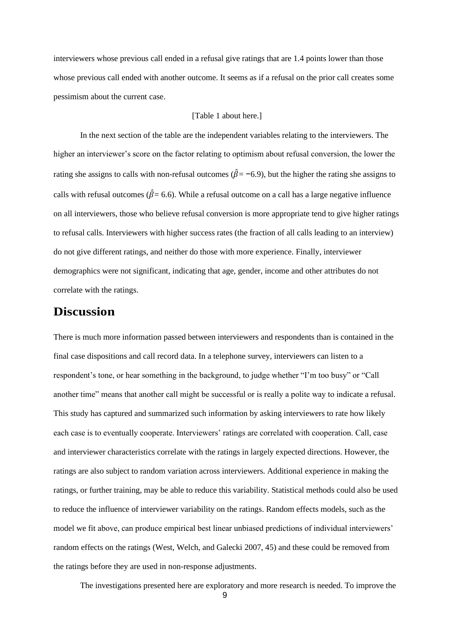interviewers whose previous call ended in a refusal give ratings that are 1.4 points lower than those whose previous call ended with another outcome. It seems as if a refusal on the prior call creates some pessimism about the current case.

#### [Table 1 about here.]

In the next section of the table are the independent variables relating to the interviewers. The higher an interviewer's score on the factor relating to optimism about refusal conversion, the lower the rating she assigns to calls with non-refusal outcomes ( $\hat{\beta}$ = −6.9), but the higher the rating she assigns to calls with refusal outcomes ( $\hat{\beta}$ = 6.6). While a refusal outcome on a call has a large negative influence on all interviewers, those who believe refusal conversion is more appropriate tend to give higher ratings to refusal calls. Interviewers with higher success rates (the fraction of all calls leading to an interview) do not give different ratings, and neither do those with more experience. Finally, interviewer demographics were not significant, indicating that age, gender, income and other attributes do not correlate with the ratings.

## **Discussion**

There is much more information passed between interviewers and respondents than is contained in the final case dispositions and call record data. In a telephone survey, interviewers can listen to a respondent's tone, or hear something in the background, to judge whether "I'm too busy" or "Call another time" means that another call might be successful or is really a polite way to indicate a refusal. This study has captured and summarized such information by asking interviewers to rate how likely each case is to eventually cooperate. Interviewers' ratings are correlated with cooperation. Call, case and interviewer characteristics correlate with the ratings in largely expected directions. However, the ratings are also subject to random variation across interviewers. Additional experience in making the ratings, or further training, may be able to reduce this variability. Statistical methods could also be used to reduce the influence of interviewer variability on the ratings. Random effects models, such as the model we fit above, can produce empirical best linear unbiased predictions of individual interviewers' random effects on the ratings (West, Welch, and Galecki 2007, 45) and these could be removed from the ratings before they are used in non-response adjustments.

The investigations presented here are exploratory and more research is needed. To improve the

9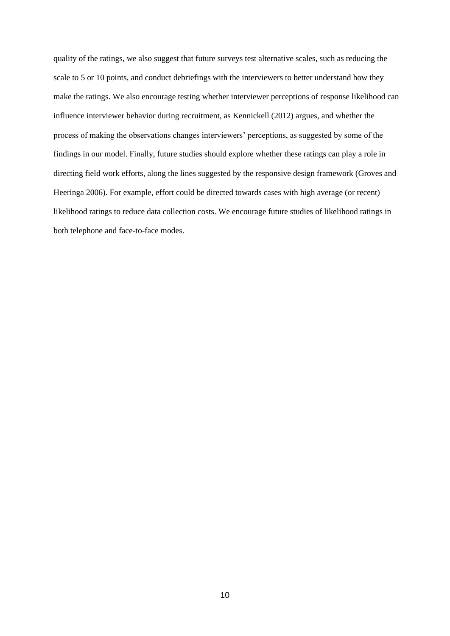quality of the ratings, we also suggest that future surveys test alternative scales, such as reducing the scale to 5 or 10 points, and conduct debriefings with the interviewers to better understand how they make the ratings. We also encourage testing whether interviewer perceptions of response likelihood can influence interviewer behavior during recruitment, as Kennickell (2012) argues, and whether the process of making the observations changes interviewers' perceptions, as suggested by some of the findings in our model. Finally, future studies should explore whether these ratings can play a role in directing field work efforts, along the lines suggested by the responsive design framework (Groves and Heeringa 2006). For example, effort could be directed towards cases with high average (or recent) likelihood ratings to reduce data collection costs. We encourage future studies of likelihood ratings in both telephone and face-to-face modes.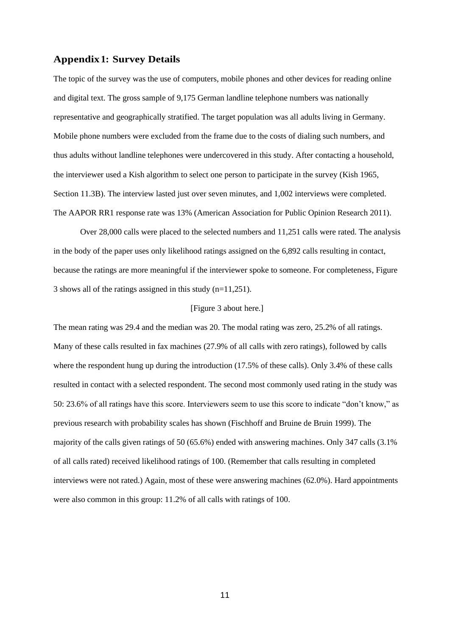#### **Appendix1: Survey Details**

The topic of the survey was the use of computers, mobile phones and other devices for reading online and digital text. The gross sample of 9,175 German landline telephone numbers was nationally representative and geographically stratified. The target population was all adults living in Germany. Mobile phone numbers were excluded from the frame due to the costs of dialing such numbers, and thus adults without landline telephones were undercovered in this study. After contacting a household, the interviewer used a Kish algorithm to select one person to participate in the survey (Kish 1965, Section 11.3B). The interview lasted just over seven minutes, and 1,002 interviews were completed. The AAPOR RR1 response rate was 13% (American Association for Public Opinion Research 2011).

Over 28,000 calls were placed to the selected numbers and 11,251 calls were rated. The analysis in the body of the paper uses only likelihood ratings assigned on the 6,892 calls resulting in contact, because the ratings are more meaningful if the interviewer spoke to someone. For completeness, Figure 3 shows all of the ratings assigned in this study (n=11,251).

#### [Figure 3 about here.]

The mean rating was 29.4 and the median was 20. The modal rating was zero, 25.2% of all ratings. Many of these calls resulted in fax machines (27.9% of all calls with zero ratings), followed by calls where the respondent hung up during the introduction (17.5% of these calls). Only 3.4% of these calls resulted in contact with a selected respondent. The second most commonly used rating in the study was 50: 23.6% of all ratings have this score. Interviewers seem to use this score to indicate "don't know," as previous research with probability scales has shown (Fischhoff and Bruine de Bruin 1999). The majority of the calls given ratings of 50 (65.6%) ended with answering machines. Only 347 calls (3.1% of all calls rated) received likelihood ratings of 100. (Remember that calls resulting in completed interviews were not rated.) Again, most of these were answering machines (62.0%). Hard appointments were also common in this group: 11.2% of all calls with ratings of 100.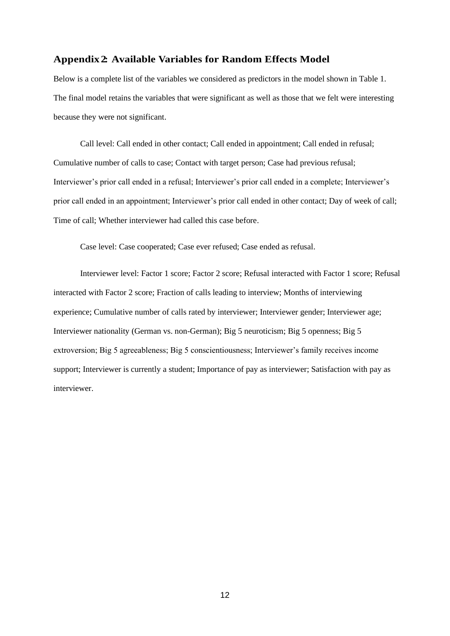#### **Appendix 2: Available Variables for Random Effects Model**

Below is a complete list of the variables we considered as predictors in the model shown in Table 1. The final model retains the variables that were significant as well as those that we felt were interesting because they were not significant.

Call level: Call ended in other contact; Call ended in appointment; Call ended in refusal; Cumulative number of calls to case; Contact with target person; Case had previous refusal; Interviewer's prior call ended in a refusal; Interviewer's prior call ended in a complete; Interviewer's prior call ended in an appointment; Interviewer's prior call ended in other contact; Day of week of call; Time of call; Whether interviewer had called this case before.

Case level: Case cooperated; Case ever refused; Case ended as refusal.

Interviewer level: Factor 1 score; Factor 2 score; Refusal interacted with Factor 1 score; Refusal interacted with Factor 2 score; Fraction of calls leading to interview; Months of interviewing experience; Cumulative number of calls rated by interviewer; Interviewer gender; Interviewer age; Interviewer nationality (German vs. non-German); Big 5 neuroticism; Big 5 openness; Big 5 extroversion; Big 5 agreeableness; Big 5 conscientiousness; Interviewer's family receives income support; Interviewer is currently a student; Importance of pay as interviewer; Satisfaction with pay as interviewer.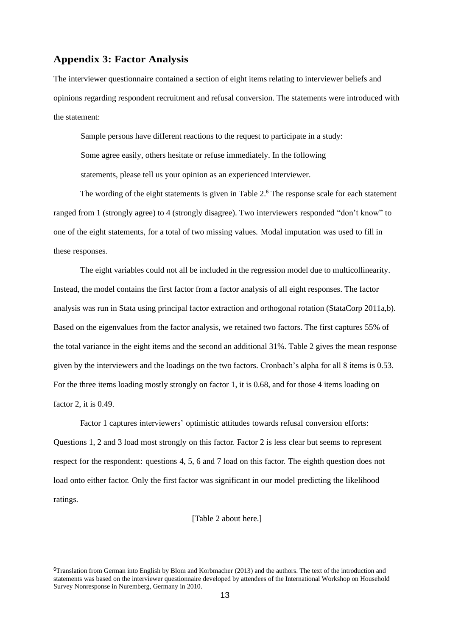#### **Appendix 3: Factor Analysis**

The interviewer questionnaire contained a section of eight items relating to interviewer beliefs and opinions regarding respondent recruitment and refusal conversion. The statements were introduced with the statement:

Sample persons have different reactions to the request to participate in a study: Some agree easily, others hesitate or refuse immediately. In the following statements, please tell us your opinion as an experienced interviewer.

The wording of the eight statements is given in Table 2.<sup>6</sup> The response scale for each statement ranged from 1 (strongly agree) to 4 (strongly disagree). Two interviewers responded "don't know" to one of the eight statements, for a total of two missing values. Modal imputation was used to fill in these responses.

The eight variables could not all be included in the regression model due to multicollinearity. Instead, the model contains the first factor from a factor analysis of all eight responses. The factor analysis was run in Stata using principal factor extraction and orthogonal rotation (StataCorp 2011a,b). Based on the eigenvalues from the factor analysis, we retained two factors. The first captures 55% of the total variance in the eight items and the second an additional 31%. Table 2 gives the mean response given by the interviewers and the loadings on the two factors. Cronbach's alpha for all 8 items is 0.53. For the three items loading mostly strongly on factor 1, it is 0.68, and for those 4 items loading on factor 2, it is 0.49.

Factor 1 captures interviewers' optimistic attitudes towards refusal conversion efforts: Questions 1, 2 and 3 load most strongly on this factor. Factor 2 is less clear but seems to represent respect for the respondent: questions 4, 5, 6 and 7 load on this factor. The eighth question does not load onto either factor. Only the first factor was significant in our model predicting the likelihood ratings.

[Table 2 about here.]

<sup>6</sup>Translation from German into English by Blom and Korbmacher (2013) and the authors. The text of the introduction and statements was based on the interviewer questionnaire developed by attendees of the International Workshop on Household Survey Nonresponse in Nuremberg, Germany in 2010.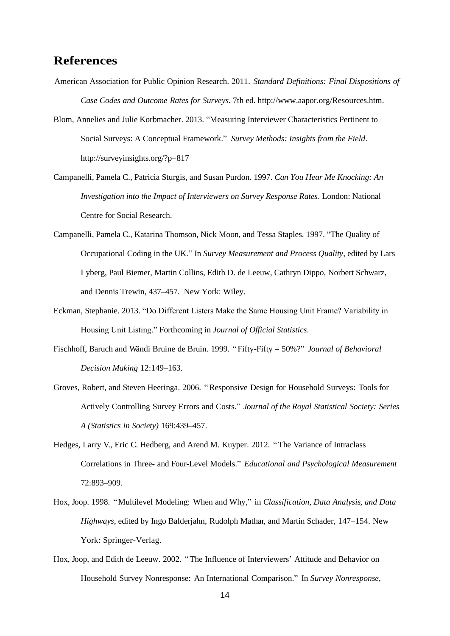## **References**

- American Association for Public Opinion Research. 2011. *Standard Definitions: Final Dispositions of Case Codes and Outcome Rates for Surveys.* 7th ed. http://www.aapor.org/Resources.htm.
- Blom, Annelies and Julie Korbmacher. 2013. ["Measuring Interviewer Characteristics Pertinent to](http://surveyinsights.org/?p=817)  [Social Surveys: A Conceptual Framework.](http://surveyinsights.org/?p=817)" *Survey Methods: Insights from the Field*. http://surveyinsights.org/?p=817
- Campanelli, Pamela C., Patricia Sturgis, and Susan Purdon. 1997. *Can You Hear Me Knocking: An Investigation into the Impact of Interviewers on Survey Response Rates*. London: National Centre for Social Research.
- Campanelli, Pamela C., Katarina Thomson, Nick Moon, and Tessa Staples. 1997. "The Quality of Occupational Coding in the UK." In *Survey Measurement and Process Quality*, edited by Lars Lyberg, Paul Biemer, Martin Collins, Edith D. de Leeuw, Cathryn Dippo, Norbert Schwarz, and Dennis Trewin, 437–457. New York: Wiley.
- Eckman, Stephanie. 2013. "Do Different Listers Make the Same Housing Unit Frame? Variability in Housing Unit Listing." Forthcoming in *Journal of Official Statistics*.
- Fischhoff, Baruch and Wändi Bruine de Bruin. 1999. " Fifty-Fifty = 50%?" *Journal of Behavioral Decision Making* 12:149–163.
- Groves, Robert, and Steven Heeringa. 2006. "Responsive Design for Household Surveys: Tools for Actively Controlling Survey Errors and Costs." *Journal of the Royal Statistical Society: Series A (Statistics in Society)* 169:439–457.
- Hedges, Larry V., Eric C. Hedberg, and Arend M. Kuyper. 2012. "The Variance of Intraclass Correlations in Three- and Four-Level Models." *Educational and Psychological Measurement* 72:893–909.
- Hox, Joop. 1998. "Multilevel Modeling: When and Why," in *Classification, Data Analysis, and Data Highways*, edited by Ingo Balderjahn, Rudolph Mathar, and Martin Schader, 147–154. New York: Springer-Verlag.
- Hox, Joop, and Edith de Leeuw. 2002. "The Influence of Interviewers' Attitude and Behavior on Household Survey Nonresponse: An International Comparison." In *Survey Nonresponse*,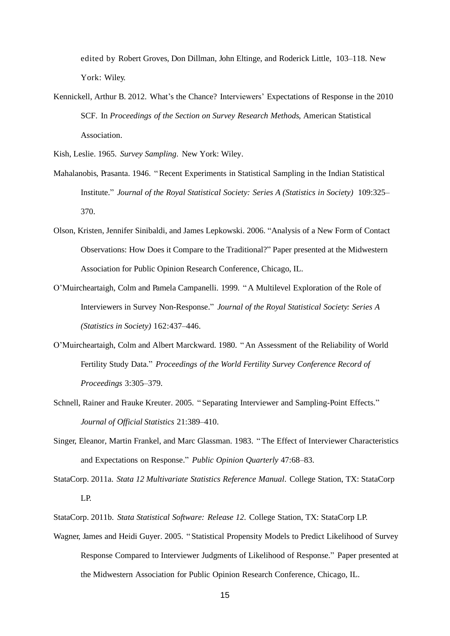edited by Robert Groves, Don Dillman, John Eltinge, and Roderick Little, 103–118. New York: Wiley.

Kennickell, Arthur B. 2012. What's the Chance? Interviewers' Expectations of Response in the 2010 SCF. In *Proceedings of the Section on Survey Research Methods,* American Statistical Association.

Kish, Leslie. 1965. *Survey Sampling*. New York: Wiley.

- Mahalanobis, Prasanta. 1946. "Recent Experiments in Statistical Sampling in the Indian Statistical Institute." *Journal of the Royal Statistical Society: Series A (Statistics in Society)* 109:325– 370.
- Olson, Kristen, Jennifer Sinibaldi, and James Lepkowski. 2006. "Analysis of a New Form of Contact Observations: How Does it Compare to the Traditional?" Paper presented at the Midwestern Association for Public Opinion Research Conference, Chicago, IL.
- O'Muircheartaigh, Colm and Pamela Campanelli. 1999. "A Multilevel Exploration of the Role of Interviewers in Survey Non-Response." *Journal of the Royal Statistical Society: Series A (Statistics in Society)* 162:437–446.
- O'Muircheartaigh, Colm and Albert Marckward. 1980. "An Assessment of the Reliability of World Fertility Study Data." *Proceedings of the World Fertility Survey Conference Record of Proceedings* 3:305–379.
- Schnell, Rainer and Frauke Kreuter. 2005. " Separating Interviewer and Sampling-Point Effects." *Journal of Official Statistics* 21:389–410.
- Singer, Eleanor, Martin Frankel, and Marc Glassman. 1983. "The Effect of Interviewer Characteristics and Expectations on Response." *Public Opinion Quarterly* 47:68–83.
- StataCorp. 2011a. *Stata 12 Multivariate Statistics Reference Manual*. College Station, TX: StataCorp LP.
- StataCorp. 2011b. *Stata Statistical Software: Release 12*. College Station, TX: StataCorp LP.
- Wagner, James and Heidi Guyer. 2005. " Statistical Propensity Models to Predict Likelihood of Survey Response Compared to Interviewer Judgments of Likelihood of Response." Paper presented at the Midwestern Association for Public Opinion Research Conference, Chicago, IL.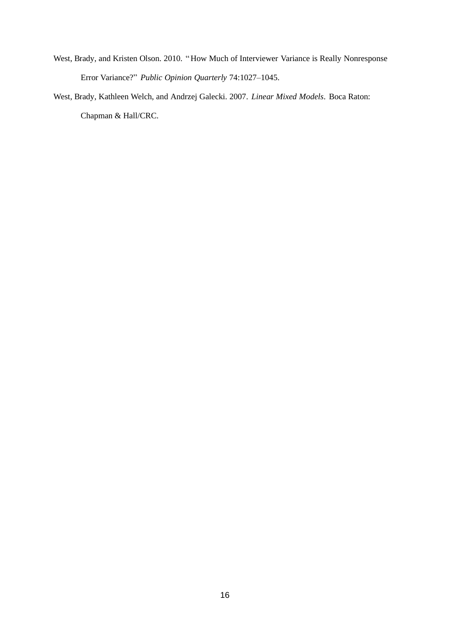- West, Brady, and Kristen Olson. 2010. "How Much of Interviewer Variance is Really Nonresponse Error Variance?" *Public Opinion Quarterly* 74:1027–1045.
- West, Brady, Kathleen Welch, and Andrzej Galecki. 2007. *Linear Mixed Models*. Boca Raton: Chapman & Hall/CRC.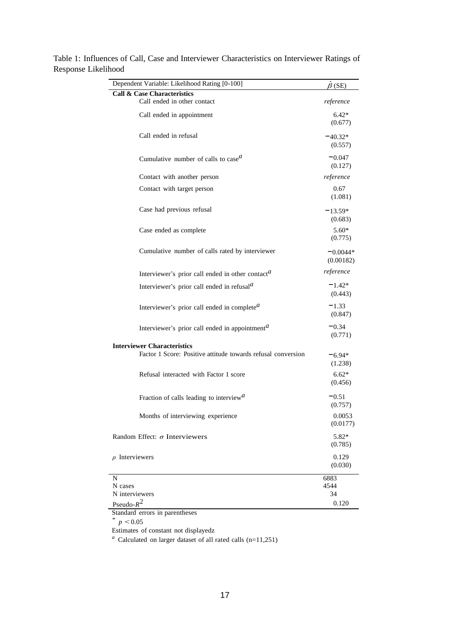| Dependent Variable: Likelihood Rating [0-100]                           | $\beta$ (SE)            |  |
|-------------------------------------------------------------------------|-------------------------|--|
| <b>Call &amp; Case Characteristics</b>                                  |                         |  |
| Call ended in other contact                                             | reference               |  |
| Call ended in appointment                                               | $6.42*$<br>(0.677)      |  |
| Call ended in refusal                                                   | $-40.32*$<br>(0.557)    |  |
| Cumulative number of calls to case $^a$                                 | $-0.047$<br>(0.127)     |  |
| Contact with another person                                             | reference               |  |
| Contact with target person                                              | 0.67<br>(1.081)         |  |
| Case had previous refusal                                               | $-13.59*$<br>(0.683)    |  |
| Case ended as complete                                                  | $5.60*$<br>(0.775)      |  |
| Cumulative number of calls rated by interviewer                         | $-0.0044*$<br>(0.00182) |  |
| Interviewer's prior call ended in other contact <sup>a</sup>            | reference               |  |
| Interviewer's prior call ended in refusal $^a$                          | $-1.42*$<br>(0.443)     |  |
| Interviewer's prior call ended in complete <sup><math>a</math></sup>    | $-1.33$<br>(0.847)      |  |
| Interviewer's prior call ended in appointment <sup><math>a</math></sup> | $-0.34$<br>(0.771)      |  |
| <b>Interviewer Characteristics</b>                                      |                         |  |
| Factor 1 Score: Positive attitude towards refusal conversion            | $-6.94*$<br>(1.238)     |  |
| Refusal interacted with Factor 1 score                                  | $6.62*$<br>(0.456)      |  |
| Fraction of calls leading to interview <sup><math>a</math></sup>        | $-0.51$<br>(0.757)      |  |
| Months of interviewing experience                                       | 0.0053<br>(0.0177)      |  |
| Random Effect: $\sigma$ Interviewers<br>5.82*<br>(0.785)                |                         |  |
| $\rho$ Interviewers                                                     | 0.129<br>(0.030)        |  |
| N                                                                       | 6883                    |  |
| N cases                                                                 | 4544                    |  |
| N interviewers                                                          | 34                      |  |
| Pseudo- $R^2$                                                           | 0.120                   |  |

Table 1: Influences of Call, Case and Interviewer Characteristics on Interviewer Ratings of Response Likelihood

Standard errors in parentheses

*\**  $p < 0.05$ 

Estimates of constant not displayedz

*<sup>a</sup>*Calculated on larger dataset of all rated calls (n=11,251)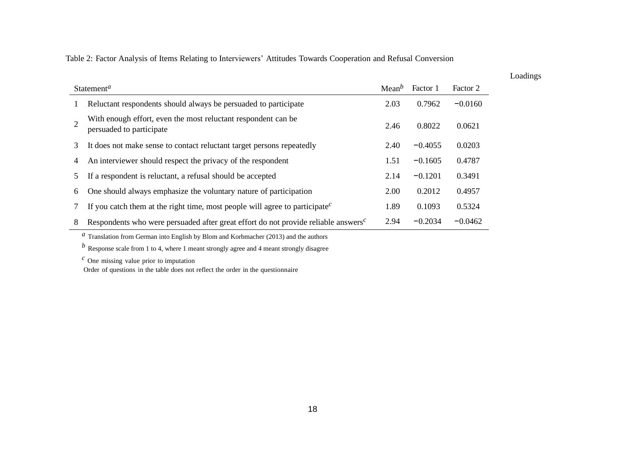Table 2: Factor Analysis of Items Relating to Interviewers' Attitudes Towards Cooperation and Refusal Conversion

| Statement <sup>a</sup> |                                                                                                             | Mean <sup>b</sup> | Factor 1  | Factor 2  |
|------------------------|-------------------------------------------------------------------------------------------------------------|-------------------|-----------|-----------|
|                        | Reluctant respondents should always be persuaded to participate                                             | 2.03              | 0.7962    | $-0.0160$ |
| $\overline{2}$         | With enough effort, even the most reluctant respondent can be<br>persuaded to participate                   | 2.46              | 0.8022    | 0.0621    |
| 3                      | It does not make sense to contact reluctant target persons repeatedly                                       | 2.40              | $-0.4055$ | 0.0203    |
| 4                      | An interviewer should respect the privacy of the respondent                                                 | 1.51              | $-0.1605$ | 0.4787    |
| 5                      | If a respondent is reluctant, a refusal should be accepted                                                  | 2.14              | $-0.1201$ | 0.3491    |
| 6                      | One should always emphasize the voluntary nature of participation                                           | 2.00              | 0.2012    | 0.4957    |
|                        | If you catch them at the right time, most people will agree to participate <sup><math>c</math></sup>        | 1.89              | 0.1093    | 0.5324    |
| 8                      | Respondents who were persuaded after great effort do not provide reliable answers <sup><math>c</math></sup> | 2.94              | $-0.2034$ | $-0.0462$ |

Loadings

*a* Translation from German into English by Blom and Korbmacher (2013) and the authors

*b* Response scale from 1 to 4, where 1 meant strongly agree and 4 meant strongly disagree

*<sup>c</sup>* One missing value prior to imputation

Order of questions in the table does not reflect the order in the questionnaire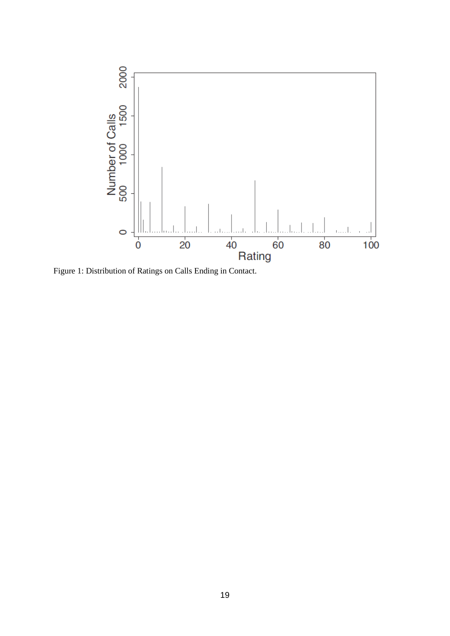

Figure 1: Distribution of Ratings on Calls Ending in Contact.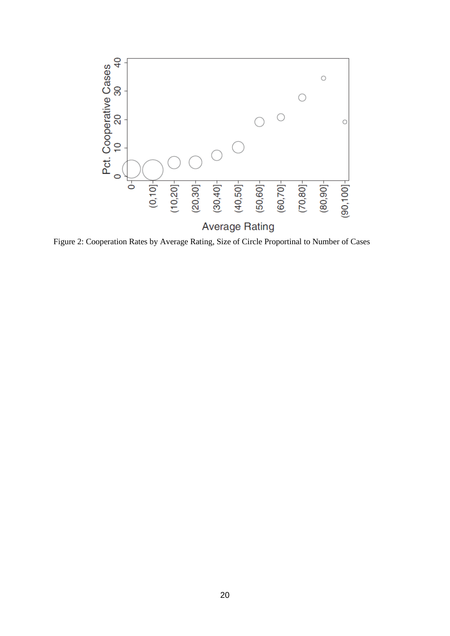

Figure 2: Cooperation Rates by Average Rating, Size of Circle Proportinal to Number of Cases